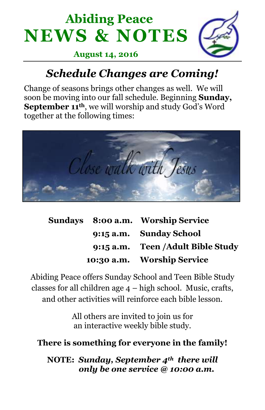



#### **August 14, 2016**

# *Schedule Changes are Coming!*

Change of seasons brings other changes as well. We will soon be moving into our fall schedule. Beginning **Sunday, September 11th**, we will worship and study God's Word together at the following times:



|  | Sundays 8:00 a.m. Worship Service  |
|--|------------------------------------|
|  | 9:15 a.m. Sunday School            |
|  | 9:15 a.m. Teen / Adult Bible Study |
|  | 10:30 a.m. Worship Service         |

Abiding Peace offers Sunday School and Teen Bible Study classes for all children age 4 – high school. Music, crafts, and other activities will reinforce each bible lesson.

> All others are invited to join us for an interactive weekly bible study.

#### **There is something for everyone in the family!**

**NOTE:** *Sunday, September 4th there will only be one service @ 10:00 a.m.*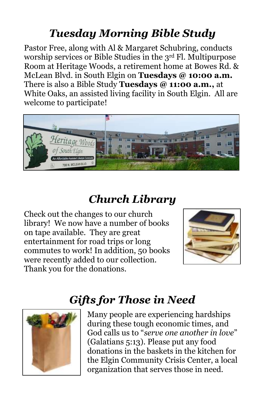# *Tuesday Morning Bible Study*

Pastor Free, along with Al & Margaret Schubring, conducts worship services or Bible Studies in the 3rd Fl. Multipurpose Room at Heritage Woods, a retirement home at Bowes Rd. & McLean Blvd. in South Elgin on **Tuesdays @ 10:00 a.m.**  There is also a Bible Study **Tuesdays @ 11:00 a.m.,** at White Oaks, an assisted living facility in South Elgin. All are welcome to participate!



# *Church Library*

Check out the changes to our church library! We now have a number of books on tape available. They are great entertainment for road trips or long commutes to work! In addition, 50 books were recently added to our collection. Thank you for the donations.



# *Gifts for Those in Need*



Many people are experiencing hardships during these tough economic times, and God calls us to "*serve one another in love*" (Galatians 5:13). Please put any food donations in the baskets in the kitchen for the Elgin Community Crisis Center, a local organization that serves those in need.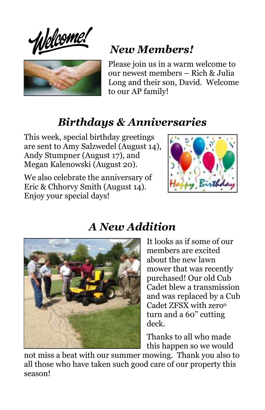Welcome:



# *New Members!*

Please join us in a warm welcome to our newest members – Rich & Julia Long and their son, David. Welcome to our AP family!

### *Birthdays & Anniversaries*

This week, special birthday greetings are sent to Amy Salzwedel (August 14), Andy Stumpner (August 17), and Megan Kalenowski (August 20).

We also celebrate the anniversary of Eric & Chhorvy Smith (August 14). Enjoy your special days!





### *A New Addition*

It looks as if some of our members are excited about the new lawn mower that was recently purchased! Our old Cub Cadet blew a transmission and was replaced by a Cub Cadet ZFSX with zero<sup>o</sup> turn and a 60" cutting deck.

Thanks to all who made this happen so we would

not miss a beat with our summer mowing. Thank you also to all those who have taken such good care of our property this season!